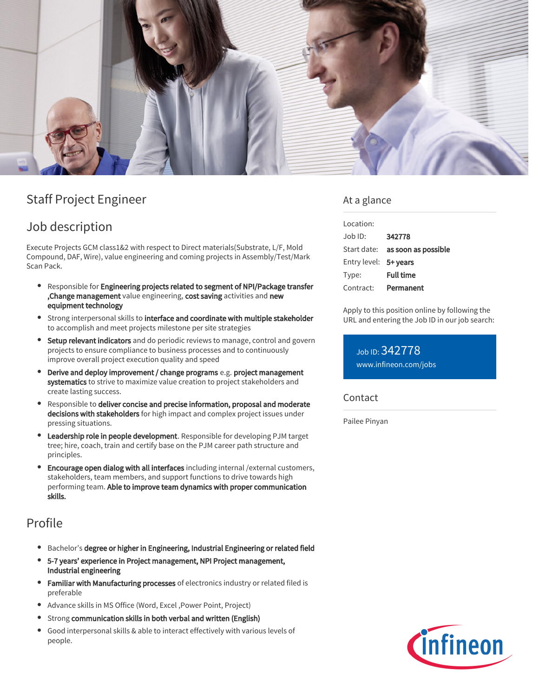

# Staff Project Engineer

## Job description

Execute Projects GCM class1&2 with respect to Direct materials(Substrate, L/F, Mold Compound, DAF, Wire), value engineering and coming projects in Assembly/Test/Mark Scan Pack.

- Responsible for Engineering projects related to segment of NPI/Package transfer , Change management value engineering, cost saving activities and new equipment technology
- **•** Strong interpersonal skills to interface and coordinate with multiple stakeholder to accomplish and meet projects milestone per site strategies
- **Setup relevant indicators** and do periodic reviews to manage, control and govern projects to ensure compliance to business processes and to continuously improve overall project execution quality and speed
- Derive and deploy improvement / change programs e.g. project management systematics to strive to maximize value creation to project stakeholders and create lasting success.
- Responsible to deliver concise and precise information, proposal and moderate decisions with stakeholders for high impact and complex project issues under pressing situations.
- **Leadership role in people development**. Responsible for developing PJM target tree; hire, coach, train and certify base on the PJM career path structure and principles.
- **Encourage open dialog with all interfaces** including internal /external customers, stakeholders, team members, and support functions to drive towards high performing team. Able to improve team dynamics with proper communication skills.

### Profile

- Bachelor's degree or higher in Engineering, Industrial Engineering or related field
- 5-7 years' experience in Project management, NPI Project management, Industrial engineering
- **Familiar with Manufacturing processes** of electronics industry or related filed is preferable
- Advance skills in MS Office (Word, Excel ,Power Point, Project)
- Strong communication skills in both verbal and written (English)
- Good interpersonal skills & able to interact effectively with various levels of people.

### At a glance

| Location:             |                                        |
|-----------------------|----------------------------------------|
| Job ID:               | 342778                                 |
|                       | Start date: <b>as soon as possible</b> |
| Entry level: 5+ years |                                        |
| Type:                 | <b>Full time</b>                       |
| Contract:             | Permanent                              |

Apply to this position online by following the URL and entering the Job ID in our job search:

Job ID: 342778 [www.infineon.com/jobs](https://www.infineon.com/jobs)

#### Contact

Pailee Pinyan